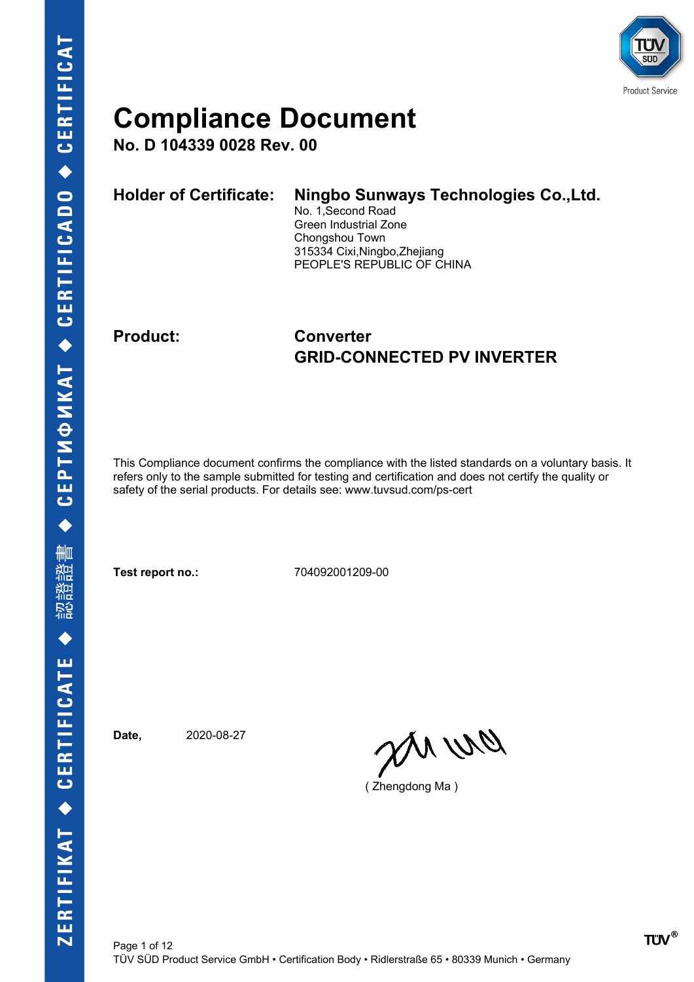

**No. D 104339 0028 Rev. 00**

| <b>Holder of Certificate:</b> | Ningbo Sunways Technologies Co., Ltd.<br>No. 1, Second Road<br>Green Industrial Zone<br>Chongshou Town<br>315334 Cixi, Ningbo, Zhejiang |
|-------------------------------|-----------------------------------------------------------------------------------------------------------------------------------------|
|                               | PEOPLE'S REPUBLIC OF CHINA                                                                                                              |
|                               |                                                                                                                                         |

### **Product: Converter GRID-CONNECTED PV INVERTER**

This Compliance document confirms the compliance with the listed standards on a voluntary basis. It refers only to the sample submitted for testing and certification and does not certify the quality or safety of the serial products. For details see: www.tuvsud.com/ps-cert

**Test report no.:** 704092001209-00

**Date,** 2020-08-27

DN WQ

( Zhengdong Ma )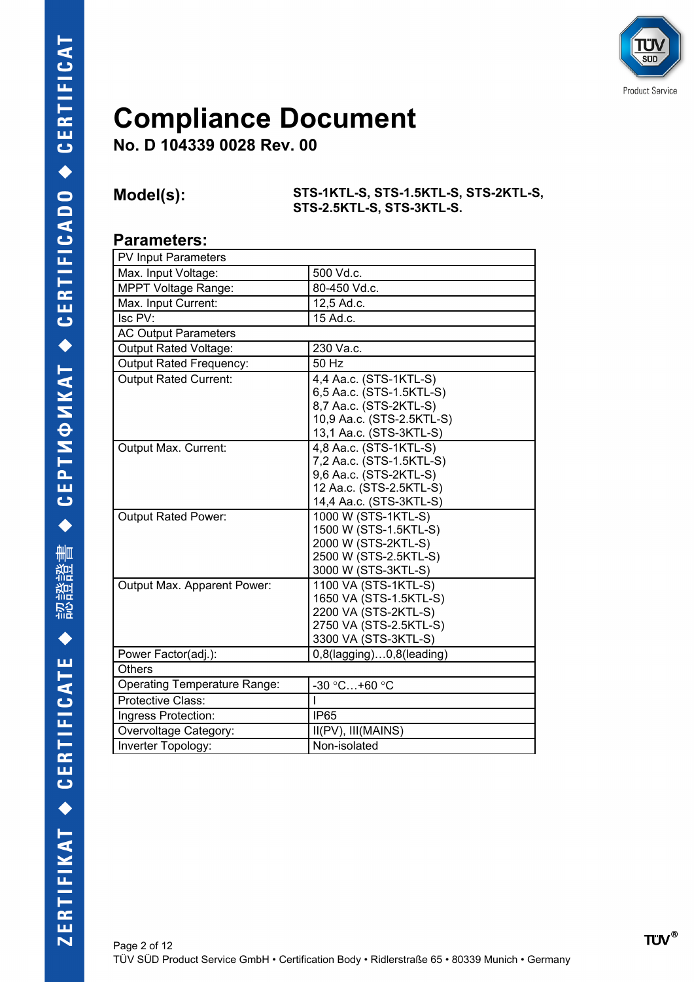

**No. D 104339 0028 Rev. 00**

**Model(s): STS-1KTL-S, STS-1.5KTL-S, STS-2KTL-S, STS-2.5KTL-S, STS-3KTL-S.**

#### **Parameters:**

| PV Input Parameters                 |                                 |
|-------------------------------------|---------------------------------|
| Max. Input Voltage:                 | 500 Vd.c.                       |
| <b>MPPT Voltage Range:</b>          | 80-450 Vd.c.                    |
| Max. Input Current:                 | 12,5 Ad.c.                      |
| Isc PV:                             | 15 Ad.c.                        |
| <b>AC Output Parameters</b>         |                                 |
| Output Rated Voltage:               | 230 Va.c.                       |
| <b>Output Rated Frequency:</b>      | 50 Hz                           |
| <b>Output Rated Current:</b>        | 4,4 Aa.c. (STS-1KTL-S)          |
|                                     | 6,5 Aa.c. (STS-1.5KTL-S)        |
|                                     | 8,7 Aa.c. (STS-2KTL-S)          |
|                                     | 10,9 Aa.c. (STS-2.5KTL-S)       |
|                                     | 13,1 Aa.c. (STS-3KTL-S)         |
| Output Max. Current:                | 4,8 Aa.c. (STS-1KTL-S)          |
|                                     | 7,2 Aa.c. (STS-1.5KTL-S)        |
|                                     | 9,6 Aa.c. (STS-2KTL-S)          |
|                                     | 12 Aa.c. (STS-2.5KTL-S)         |
|                                     | 14,4 Aa.c. (STS-3KTL-S)         |
| <b>Output Rated Power:</b>          | 1000 W (STS-1KTL-S)             |
|                                     | 1500 W (STS-1.5KTL-S)           |
|                                     | 2000 W (STS-2KTL-S)             |
|                                     | 2500 W (STS-2.5KTL-S)           |
|                                     | 3000 W (STS-3KTL-S)             |
| Output Max. Apparent Power:         | 1100 VA (STS-1KTL-S)            |
|                                     | 1650 VA (STS-1.5KTL-S)          |
|                                     | 2200 VA (STS-2KTL-S)            |
|                                     | 2750 VA (STS-2.5KTL-S)          |
|                                     | 3300 VA (STS-3KTL-S)            |
| Power Factor(adj.):                 | $0,8$ (lagging) $0,8$ (leading) |
| <b>Others</b>                       |                                 |
| <b>Operating Temperature Range:</b> | -30 °C+60 °C                    |
| Protective Class:                   |                                 |
| Ingress Protection:                 | <b>IP65</b>                     |
| Overvoltage Category:               | II(PV), III(MAINS)              |
| Inverter Topology:                  | Non-isolated                    |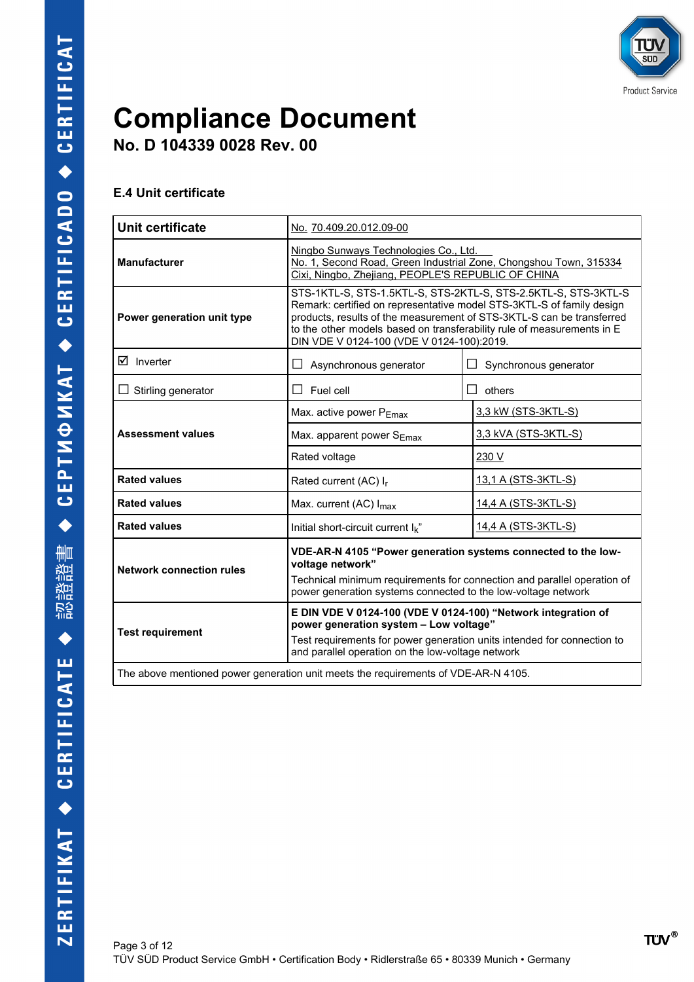

**No. D 104339 0028 Rev. 00**

#### **E.4 Unit certificate**

| Unit certificate                | No. 70.409.20.012.09-00                                                                                                                                                                                                                                                                                                                 |                            |  |  |  |  |  |  |
|---------------------------------|-----------------------------------------------------------------------------------------------------------------------------------------------------------------------------------------------------------------------------------------------------------------------------------------------------------------------------------------|----------------------------|--|--|--|--|--|--|
| <b>Manufacturer</b>             | Ningbo Sunways Technologies Co., Ltd.<br>No. 1, Second Road, Green Industrial Zone, Chongshou Town, 315334<br>Cixi, Ningbo, Zhejiang, PEOPLE'S REPUBLIC OF CHINA                                                                                                                                                                        |                            |  |  |  |  |  |  |
| Power generation unit type      | STS-1KTL-S, STS-1.5KTL-S, STS-2KTL-S, STS-2.5KTL-S, STS-3KTL-S<br>Remark: certified on representative model STS-3KTL-S of family design<br>products, results of the measurement of STS-3KTL-S can be transferred<br>to the other models based on transferability rule of measurements in E<br>DIN VDE V 0124-100 (VDE V 0124-100):2019. |                            |  |  |  |  |  |  |
| $\boxtimes$ Inverter            | Asynchronous generator                                                                                                                                                                                                                                                                                                                  | Synchronous generator      |  |  |  |  |  |  |
| $\Box$ Stirling generator       | Fuel cell<br>$\Box$                                                                                                                                                                                                                                                                                                                     | $\Box$<br>others           |  |  |  |  |  |  |
|                                 | Max. active power PEmax                                                                                                                                                                                                                                                                                                                 | 3,3 kW (STS-3KTL-S)        |  |  |  |  |  |  |
| <b>Assessment values</b>        | Max. apparent power $S_{Emax}$                                                                                                                                                                                                                                                                                                          | 3,3 kVA (STS-3KTL-S)       |  |  |  |  |  |  |
|                                 | Rated voltage                                                                                                                                                                                                                                                                                                                           | 230 V                      |  |  |  |  |  |  |
| <b>Rated values</b>             | Rated current (AC) I <sub>r</sub>                                                                                                                                                                                                                                                                                                       | <u>13,1 A (STS-3KTL-S)</u> |  |  |  |  |  |  |
| <b>Rated values</b>             | Max. current (AC) I <sub>max</sub>                                                                                                                                                                                                                                                                                                      | 14,4 A (STS-3KTL-S)        |  |  |  |  |  |  |
| <b>Rated values</b>             | Initial short-circuit current $I_k$ "                                                                                                                                                                                                                                                                                                   | 14,4 A (STS-3KTL-S)        |  |  |  |  |  |  |
| <b>Network connection rules</b> | VDE-AR-N 4105 "Power generation systems connected to the low-<br>voltage network"<br>Technical minimum requirements for connection and parallel operation of<br>power generation systems connected to the low-voltage network                                                                                                           |                            |  |  |  |  |  |  |
| <b>Test requirement</b>         | E DIN VDE V 0124-100 (VDE V 0124-100) "Network integration of<br>power generation system - Low voltage"<br>Test requirements for power generation units intended for connection to<br>and parallel operation on the low-voltage network                                                                                                 |                            |  |  |  |  |  |  |
|                                 | The above mentioned power generation unit meets the requirements of VDE-AR-N 4105.                                                                                                                                                                                                                                                      |                            |  |  |  |  |  |  |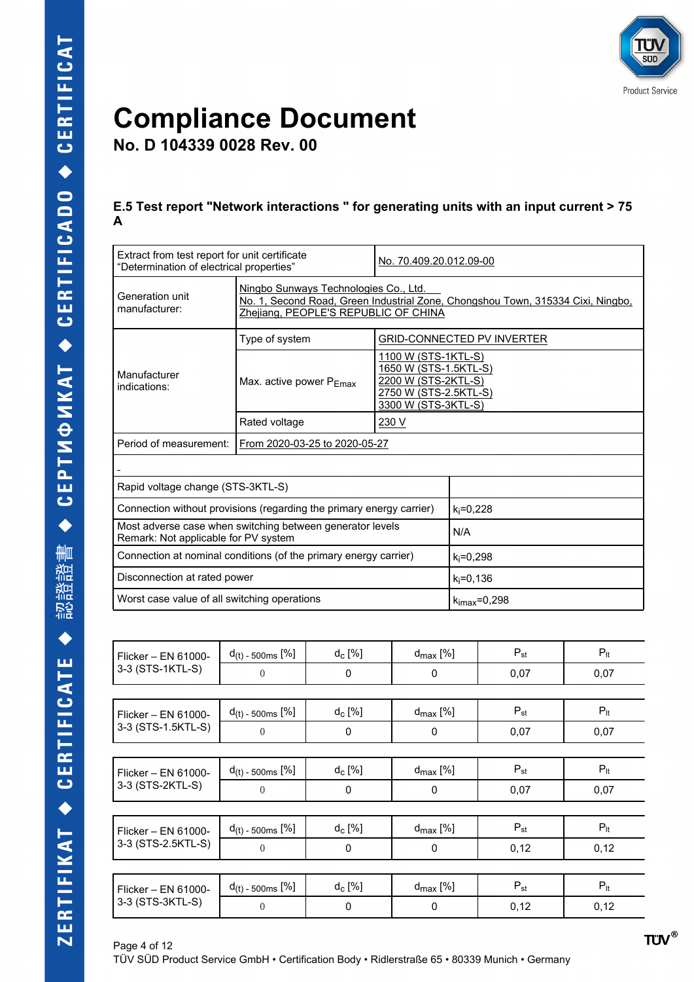

**No. D 104339 0028 Rev. 00**

#### **E.5 Test report "Network interactions " for generating units with an input current > 75 A**

| Extract from test report for unit certificate<br>"Determination of electrical properties"                                                                                                            |                         |                                                                                                                                                                                                                                                                                                                                                                                      | No. 70.409.20.012.09-00                                                                                             |               |                                   |                 |  |  |  |
|------------------------------------------------------------------------------------------------------------------------------------------------------------------------------------------------------|-------------------------|--------------------------------------------------------------------------------------------------------------------------------------------------------------------------------------------------------------------------------------------------------------------------------------------------------------------------------------------------------------------------------------|---------------------------------------------------------------------------------------------------------------------|---------------|-----------------------------------|-----------------|--|--|--|
| Ningbo Sunways Technologies Co., Ltd.<br>Generation unit<br>No. 1, Second Road, Green Industrial Zone, Chongshou Town, 315334 Cixi, Ningbo,<br>manufacturer:<br>Zhejiang, PEOPLE'S REPUBLIC OF CHINA |                         |                                                                                                                                                                                                                                                                                                                                                                                      |                                                                                                                     |               |                                   |                 |  |  |  |
|                                                                                                                                                                                                      | Type of system          |                                                                                                                                                                                                                                                                                                                                                                                      |                                                                                                                     |               | <b>GRID-CONNECTED PV INVERTER</b> |                 |  |  |  |
| Manufacturer<br>indications:                                                                                                                                                                         | Max. active power PEmax |                                                                                                                                                                                                                                                                                                                                                                                      | 1100 W (STS-1KTL-S)<br>1650 W (STS-1.5KTL-S)<br>2200 W (STS-2KTL-S)<br>2750 W (STS-2.5KTL-S)<br>3300 W (STS-3KTL-S) |               |                                   |                 |  |  |  |
| Rated voltage<br>230 V                                                                                                                                                                               |                         |                                                                                                                                                                                                                                                                                                                                                                                      |                                                                                                                     |               |                                   |                 |  |  |  |
| Period of measurement:<br>From 2020-03-25 to 2020-05-27                                                                                                                                              |                         |                                                                                                                                                                                                                                                                                                                                                                                      |                                                                                                                     |               |                                   |                 |  |  |  |
|                                                                                                                                                                                                      |                         |                                                                                                                                                                                                                                                                                                                                                                                      |                                                                                                                     |               |                                   |                 |  |  |  |
| Rapid voltage change (STS-3KTL-S)                                                                                                                                                                    |                         |                                                                                                                                                                                                                                                                                                                                                                                      |                                                                                                                     |               |                                   |                 |  |  |  |
| Connection without provisions (regarding the primary energy carrier)                                                                                                                                 |                         |                                                                                                                                                                                                                                                                                                                                                                                      |                                                                                                                     | $k_i = 0,228$ |                                   |                 |  |  |  |
| Most adverse case when switching between generator levels<br>Remark: Not applicable for PV system                                                                                                    |                         |                                                                                                                                                                                                                                                                                                                                                                                      |                                                                                                                     | N/A           |                                   |                 |  |  |  |
| Connection at nominal conditions (of the primary energy carrier)                                                                                                                                     |                         |                                                                                                                                                                                                                                                                                                                                                                                      |                                                                                                                     | $k_i = 0,298$ |                                   |                 |  |  |  |
| Disconnection at rated power                                                                                                                                                                         |                         |                                                                                                                                                                                                                                                                                                                                                                                      |                                                                                                                     | $k_i = 0,136$ |                                   |                 |  |  |  |
| Worst case value of all switching operations                                                                                                                                                         |                         |                                                                                                                                                                                                                                                                                                                                                                                      |                                                                                                                     |               | $k_{\text{imax}} = 0,298$         |                 |  |  |  |
|                                                                                                                                                                                                      |                         |                                                                                                                                                                                                                                                                                                                                                                                      |                                                                                                                     |               |                                   |                 |  |  |  |
| Flicker - EN 61000-                                                                                                                                                                                  | $d(t)$ - 500ms $[\%]$   | $d_c$ [%]                                                                                                                                                                                                                                                                                                                                                                            |                                                                                                                     | $d_{max}$ [%] | $P_{st}$                          | $P_{\text{lt}}$ |  |  |  |
| 3-3 (STS-1KTL-S)                                                                                                                                                                                     | $\overline{0}$          | $\mathbf 0$                                                                                                                                                                                                                                                                                                                                                                          |                                                                                                                     | $\mathbf 0$   | 0,07                              | 0,07            |  |  |  |
|                                                                                                                                                                                                      |                         |                                                                                                                                                                                                                                                                                                                                                                                      |                                                                                                                     |               |                                   |                 |  |  |  |
| $P_{\text{lt}}$<br>$d_{\text{max}}$ [%]<br>$P_{\rm st}$<br>$d(t)$ - 500ms $[%]$<br>$d_c$ [%]<br>Flicker - EN 61000-                                                                                  |                         |                                                                                                                                                                                                                                                                                                                                                                                      |                                                                                                                     |               |                                   |                 |  |  |  |
| 3-3 (STS-1.5KTL-S)                                                                                                                                                                                   | $\overline{0}$          | $\mathbf 0$                                                                                                                                                                                                                                                                                                                                                                          |                                                                                                                     | $\mathbf 0$   | 0,07                              | 0,07            |  |  |  |
|                                                                                                                                                                                                      | 2012                    | $\overline{1}$ $\overline{1}$ $\overline{2}$ $\overline{1}$ $\overline{2}$ $\overline{3}$ $\overline{4}$ $\overline{5}$ $\overline{1}$ $\overline{2}$ $\overline{3}$ $\overline{4}$ $\overline{5}$ $\overline{1}$ $\overline{2}$ $\overline{3}$ $\overline{4}$ $\overline{5}$ $\overline{6}$ $\overline{4}$ $\overline{5}$ $\overline{6}$ $\overline{2}$ $\overline{4}$ $\overline{$ |                                                                                                                     | 2012          | <sub>n</sub>                      | <sub>n</sub>    |  |  |  |

| 3-3 (STS-1KTL-S)    | $\overline{0}$          | $\Omega$  | $\Omega$             | 0,07     | 0,07            |
|---------------------|-------------------------|-----------|----------------------|----------|-----------------|
|                     |                         |           |                      |          |                 |
| Flicker - EN 61000- | $d_{(t)}$ - 500ms $[%]$ | $d_c$ [%] | $d_{\text{max}}$ [%] | $P_{st}$ | $P_{lt}$        |
| 3-3 (STS-1.5KTL-S)  | $\theta$                | 0         | 0                    | 0,07     | 0,07            |
|                     |                         |           |                      |          |                 |
| Flicker - EN 61000- | $d(t)$ - 500ms $[%]$    | $d_c$ [%] | $d_{\text{max}}$ [%] | $P_{st}$ | $P_{lt}$        |
| 3-3 (STS-2KTL-S)    | $\theta$                | 0         | 0                    | 0,07     | 0,07            |
|                     |                         |           |                      |          |                 |
| Flicker - EN 61000- | $d_{(t)}$ - 500ms $[%]$ | $d_c$ [%] | $d_{\text{max}}$ [%] | $P_{st}$ | $P_{lt}$        |
| 3-3 (STS-2.5KTL-S)  | $\overline{0}$          | 0         | 0                    | 0,12     | 0,12            |
|                     |                         |           |                      |          |                 |
| Flicker - EN 61000- | $d_{(t)}$ - 500ms $[%]$ | $d_c$ [%] | $d_{\text{max}}$ [%] | $P_{st}$ | $P_{\text{lt}}$ |
| 3-3 (STS-3KTL-S)    | $\Omega$                | 0         | 0                    | 0,12     | 0,12            |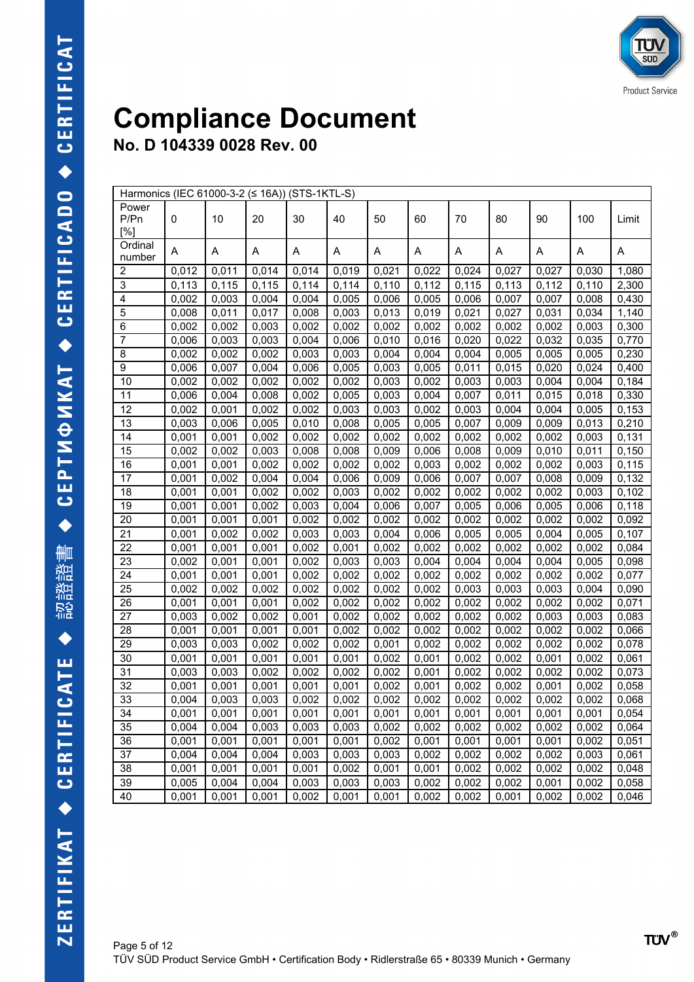| Harmonics (IEC 61000-3-2 (≤ 16A)) (STS-1KTL-S) |       |       |       |       |       |       |       |       |       |       |       |       |
|------------------------------------------------|-------|-------|-------|-------|-------|-------|-------|-------|-------|-------|-------|-------|
| Power<br>P/Pn<br>[%]                           | 0     | 10    | 20    | 30    | 40    | 50    | 60    | 70    | 80    | 90    | 100   | Limit |
| Ordinal<br>number                              | Α     | Α     | Α     | Α     | Α     | Α     | A     | Α     | Α     | Α     | Α     | A     |
| 2                                              | 0,012 | 0,011 | 0,014 | 0,014 | 0,019 | 0,021 | 0,022 | 0,024 | 0,027 | 0,027 | 0,030 | 1,080 |
| $\ensuremath{\mathsf{3}}$                      | 0,113 | 0,115 | 0,115 | 0,114 | 0,114 | 0,110 | 0,112 | 0,115 | 0,113 | 0,112 | 0,110 | 2,300 |
| 4                                              | 0,002 | 0,003 | 0,004 | 0,004 | 0,005 | 0,006 | 0,005 | 0,006 | 0,007 | 0,007 | 0,008 | 0,430 |
| 5                                              | 0,008 | 0,011 | 0,017 | 0,008 | 0,003 | 0,013 | 0,019 | 0,021 | 0,027 | 0,031 | 0,034 | 1,140 |
| 6                                              | 0,002 | 0,002 | 0,003 | 0,002 | 0,002 | 0,002 | 0,002 | 0,002 | 0,002 | 0,002 | 0,003 | 0,300 |
| $\overline{7}$                                 | 0,006 | 0,003 | 0,003 | 0,004 | 0,006 | 0,010 | 0,016 | 0,020 | 0,022 | 0,032 | 0,035 | 0,770 |
| 8                                              | 0,002 | 0,002 | 0,002 | 0,003 | 0,003 | 0,004 | 0,004 | 0,004 | 0,005 | 0,005 | 0,005 | 0,230 |
| 9                                              | 0,006 | 0,007 | 0,004 | 0,006 | 0,005 | 0,003 | 0,005 | 0,011 | 0,015 | 0,020 | 0,024 | 0,400 |
| 10                                             | 0,002 | 0,002 | 0,002 | 0,002 | 0,002 | 0,003 | 0,002 | 0,003 | 0,003 | 0,004 | 0,004 | 0,184 |
| 11                                             | 0,006 | 0,004 | 0,008 | 0,002 | 0,005 | 0,003 | 0,004 | 0,007 | 0,011 | 0,015 | 0,018 | 0,330 |
| 12                                             | 0,002 | 0,001 | 0,002 | 0,002 | 0,003 | 0,003 | 0,002 | 0,003 | 0,004 | 0,004 | 0,005 | 0,153 |
| 13                                             | 0,003 | 0,006 | 0,005 | 0,010 | 0,008 | 0,005 | 0,005 | 0,007 | 0,009 | 0,009 | 0,013 | 0,210 |
| 14                                             | 0,001 | 0,001 | 0,002 | 0,002 | 0,002 | 0,002 | 0,002 | 0,002 | 0,002 | 0,002 | 0,003 | 0,131 |
| 15                                             | 0,002 | 0,002 | 0,003 | 0,008 | 0,008 | 0,009 | 0,006 | 0,008 | 0,009 | 0,010 | 0,011 | 0,150 |
| 16                                             | 0,001 | 0,001 | 0,002 | 0,002 | 0,002 | 0,002 | 0,003 | 0,002 | 0,002 | 0,002 | 0,003 | 0,115 |
| 17                                             | 0,001 | 0,002 | 0,004 | 0,004 | 0,006 | 0,009 | 0,006 | 0,007 | 0,007 | 0,008 | 0,009 | 0,132 |
| 18                                             | 0,001 | 0,001 | 0,002 | 0,002 | 0,003 | 0,002 | 0,002 | 0,002 | 0,002 | 0,002 | 0,003 | 0,102 |
| 19                                             | 0,001 | 0,001 | 0,002 | 0,003 | 0,004 | 0,006 | 0,007 | 0,005 | 0,006 | 0,005 | 0,006 | 0,118 |
| 20                                             | 0,001 | 0,001 | 0,001 | 0,002 | 0,002 | 0,002 | 0,002 | 0,002 | 0,002 | 0,002 | 0,002 | 0,092 |
| 21                                             | 0,001 | 0,002 | 0,002 | 0,003 | 0,003 | 0,004 | 0,006 | 0,005 | 0,005 | 0,004 | 0,005 | 0,107 |
| 22                                             | 0,001 | 0,001 | 0,001 | 0,002 | 0,001 | 0,002 | 0,002 | 0,002 | 0,002 | 0,002 | 0,002 | 0,084 |
| 23                                             | 0,002 | 0,001 | 0,001 | 0,002 | 0,003 | 0,003 | 0,004 | 0,004 | 0,004 | 0,004 | 0,005 | 0,098 |
| 24                                             | 0,001 | 0,001 | 0,001 | 0,002 | 0,002 | 0,002 | 0,002 | 0,002 | 0,002 | 0,002 | 0,002 | 0,077 |
| 25                                             | 0,002 | 0,002 | 0,002 | 0,002 | 0,002 | 0,002 | 0,002 | 0,003 | 0,003 | 0,003 | 0,004 | 0,090 |
| 26                                             | 0,001 | 0,001 | 0,001 | 0,002 | 0,002 | 0,002 | 0,002 | 0,002 | 0,002 | 0,002 | 0,002 | 0,071 |
| 27                                             | 0,003 | 0,002 | 0,002 | 0,001 | 0,002 | 0,002 | 0,002 | 0,002 | 0,002 | 0,003 | 0,003 | 0,083 |
| 28                                             | 0,001 | 0,001 | 0,001 | 0,001 | 0,002 | 0,002 | 0,002 | 0,002 | 0,002 | 0,002 | 0,002 | 0,066 |
| 29                                             | 0,003 | 0,003 | 0,002 | 0,002 | 0,002 | 0,001 | 0,002 | 0,002 | 0,002 | 0,002 | 0,002 | 0,078 |
| 30                                             | 0,001 | 0,001 | 0,001 | 0,001 | 0,001 | 0,002 | 0,001 | 0,002 | 0,002 | 0,001 | 0,002 | 0,061 |
| 31                                             | 0,003 | 0,003 | 0,002 | 0,002 | 0,002 | 0,002 | 0,001 | 0,002 | 0,002 | 0,002 | 0,002 | 0,073 |
| 32                                             | 0,001 | 0,001 | 0,001 | 0,001 | 0,001 | 0,002 | 0,001 | 0,002 | 0,002 | 0,001 | 0,002 | 0,058 |
| 33                                             | 0,004 | 0,003 | 0,003 | 0,002 | 0,002 | 0,002 | 0,002 | 0,002 | 0,002 | 0,002 | 0,002 | 0,068 |
| 34                                             | 0,001 | 0,001 | 0,001 | 0,001 | 0,001 | 0,001 | 0,001 | 0,001 | 0,001 | 0,001 | 0,001 | 0,054 |
| 35                                             | 0,004 | 0,004 | 0,003 | 0,003 | 0,003 | 0,002 | 0,002 | 0,002 | 0,002 | 0,002 | 0,002 | 0,064 |
| 36                                             | 0,001 | 0,001 | 0,001 | 0,001 | 0,001 | 0,002 | 0,001 | 0,001 | 0,001 | 0,001 | 0,002 | 0,051 |
| 37                                             | 0,004 | 0,004 | 0,004 | 0,003 | 0,003 | 0,003 | 0,002 | 0,002 | 0,002 | 0,002 | 0,003 | 0,061 |
| 38                                             | 0,001 | 0,001 | 0,001 | 0,001 | 0,002 | 0,001 | 0,001 | 0,002 | 0,002 | 0,002 | 0,002 | 0,048 |
| 39                                             | 0,005 | 0,004 | 0,004 | 0,003 | 0,003 | 0,003 | 0,002 | 0,002 | 0,002 | 0,001 | 0,002 | 0,058 |
| 40                                             | 0,001 | 0,001 | 0,001 | 0,002 | 0,001 | 0,001 | 0,002 | 0,002 | 0,001 | 0,002 | 0,002 | 0,046 |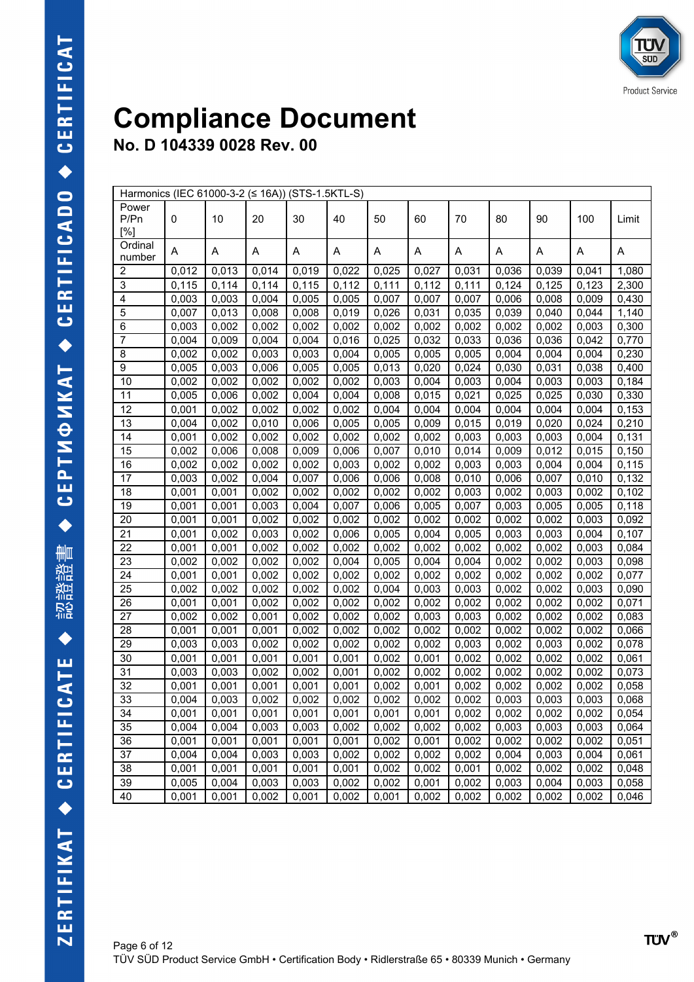|                  | Harmonics (IEC 61000-3-2 (≤ 16A)) (STS-1.5KTL-S) |       |       |       |       |       |       |       |       |       |       |       |
|------------------|--------------------------------------------------|-------|-------|-------|-------|-------|-------|-------|-------|-------|-------|-------|
| Power            |                                                  |       |       |       |       |       |       |       |       |       |       |       |
| P/Pn             | 0                                                | 10    | 20    | 30    | 40    | 50    | 60    | 70    | 80    | 90    | 100   | Limit |
| [%]              |                                                  |       |       |       |       |       |       |       |       |       |       |       |
| Ordinal          | Α                                                | A     | A     | Α     | Α     | Α     | Α     | Α     | Α     | Α     | A     | Α     |
| number           |                                                  |       |       |       |       |       |       |       |       |       |       |       |
| $\boldsymbol{2}$ | 0,012                                            | 0,013 | 0,014 | 0,019 | 0,022 | 0,025 | 0,027 | 0,031 | 0,036 | 0,039 | 0,041 | 1,080 |
| $\overline{3}$   | 0,115                                            | 0,114 | 0,114 | 0,115 | 0,112 | 0,111 | 0,112 | 0,111 | 0,124 | 0,125 | 0,123 | 2,300 |
| $\overline{4}$   | 0,003                                            | 0,003 | 0,004 | 0,005 | 0,005 | 0,007 | 0,007 | 0,007 | 0,006 | 0,008 | 0,009 | 0,430 |
| $\overline{5}$   | 0,007                                            | 0,013 | 0,008 | 0,008 | 0,019 | 0,026 | 0,031 | 0,035 | 0,039 | 0,040 | 0,044 | 1,140 |
| $\overline{6}$   | 0,003                                            | 0,002 | 0,002 | 0,002 | 0,002 | 0,002 | 0,002 | 0,002 | 0,002 | 0,002 | 0,003 | 0,300 |
| $\overline{7}$   | 0,004                                            | 0,009 | 0,004 | 0,004 | 0,016 | 0,025 | 0,032 | 0,033 | 0,036 | 0,036 | 0,042 | 0,770 |
| 8                | 0,002                                            | 0,002 | 0,003 | 0,003 | 0,004 | 0,005 | 0,005 | 0,005 | 0,004 | 0,004 | 0,004 | 0,230 |
| 9                | 0,005                                            | 0,003 | 0,006 | 0,005 | 0,005 | 0,013 | 0,020 | 0,024 | 0,030 | 0,031 | 0,038 | 0,400 |
| 10               | 0,002                                            | 0,002 | 0,002 | 0,002 | 0,002 | 0,003 | 0,004 | 0,003 | 0,004 | 0,003 | 0,003 | 0,184 |
| 11               | 0,005                                            | 0,006 | 0,002 | 0,004 | 0,004 | 0,008 | 0,015 | 0,021 | 0,025 | 0,025 | 0,030 | 0,330 |
| 12               | 0,001                                            | 0,002 | 0,002 | 0,002 | 0,002 | 0,004 | 0,004 | 0,004 | 0,004 | 0,004 | 0,004 | 0,153 |
| 13               | 0,004                                            | 0,002 | 0,010 | 0,006 | 0,005 | 0,005 | 0,009 | 0,015 | 0,019 | 0,020 | 0,024 | 0,210 |
| 14               | 0,001                                            | 0,002 | 0,002 | 0,002 | 0,002 | 0,002 | 0,002 | 0,003 | 0,003 | 0,003 | 0,004 | 0,131 |
| 15               | 0,002                                            | 0,006 | 0,008 | 0,009 | 0,006 | 0,007 | 0,010 | 0,014 | 0,009 | 0,012 | 0,015 | 0,150 |
| 16               | 0,002                                            | 0,002 | 0,002 | 0,002 | 0,003 | 0,002 | 0,002 | 0,003 | 0,003 | 0,004 | 0,004 | 0,115 |
| 17               | 0,003                                            | 0,002 | 0,004 | 0,007 | 0,006 | 0,006 | 0,008 | 0,010 | 0,006 | 0,007 | 0,010 | 0,132 |
| 18               | 0,001                                            | 0,001 | 0,002 | 0,002 | 0,002 | 0,002 | 0,002 | 0,003 | 0,002 | 0,003 | 0,002 | 0,102 |
| 19               | 0,001                                            | 0,001 | 0,003 | 0,004 | 0,007 | 0,006 | 0,005 | 0,007 | 0,003 | 0,005 | 0,005 | 0,118 |
| 20               | 0,001                                            | 0,001 | 0,002 | 0,002 | 0,002 | 0,002 | 0,002 | 0,002 | 0,002 | 0,002 | 0,003 | 0,092 |
| 21               | 0,001                                            | 0,002 | 0,003 | 0,002 | 0,006 | 0,005 | 0,004 | 0,005 | 0,003 | 0,003 | 0,004 | 0,107 |
| 22               | 0,001                                            | 0,001 | 0,002 | 0,002 | 0,002 | 0,002 | 0,002 | 0,002 | 0,002 | 0,002 | 0,003 | 0,084 |
| 23               | 0,002                                            | 0,002 | 0,002 | 0,002 | 0,004 | 0,005 | 0,004 | 0,004 | 0,002 | 0,002 | 0,003 | 0,098 |
| 24               | 0,001                                            | 0,001 | 0,002 | 0,002 | 0,002 | 0,002 | 0,002 | 0,002 | 0,002 | 0,002 | 0,002 | 0,077 |
| 25               | 0,002                                            | 0,002 | 0,002 | 0,002 | 0,002 | 0,004 | 0,003 | 0,003 | 0,002 | 0,002 | 0,003 | 0,090 |
| 26               | 0,001                                            | 0,001 | 0,002 | 0,002 | 0,002 | 0,002 | 0,002 | 0,002 | 0,002 | 0,002 | 0,002 | 0,071 |
| 27               | 0,002                                            | 0,002 | 0,001 | 0,002 | 0,002 | 0,002 | 0,003 | 0,003 | 0,002 | 0,002 | 0,002 | 0,083 |
| 28               | 0,001                                            | 0,001 | 0,001 | 0,002 | 0,002 | 0,002 | 0,002 | 0,002 | 0,002 | 0,002 | 0,002 | 0,066 |
| 29               | 0,003                                            | 0,003 | 0,002 | 0,002 | 0,002 | 0,002 | 0,002 | 0,003 | 0,002 | 0,003 | 0,002 | 0,078 |
| 30               | 0,001                                            | 0,001 | 0,001 | 0,001 | 0,001 | 0,002 | 0,001 | 0,002 | 0,002 | 0,002 | 0,002 | 0,061 |
| 31               | 0,003                                            | 0,003 | 0,002 | 0,002 | 0,001 | 0,002 | 0,002 | 0,002 | 0,002 | 0,002 | 0,002 | 0,073 |
| 32               | 0,001                                            | 0,001 | 0,001 | 0,001 | 0,001 | 0,002 | 0,001 | 0,002 | 0,002 | 0,002 | 0,002 | 0,058 |
| 33               | 0,004                                            | 0,003 | 0,002 | 0,002 | 0,002 | 0,002 | 0,002 | 0,002 | 0,003 | 0,003 | 0,003 | 0,068 |
| 34               | 0,001                                            | 0,001 | 0,001 | 0,001 | 0,001 | 0,001 | 0,001 | 0,002 | 0,002 | 0,002 | 0,002 | 0,054 |
| 35               | 0,004                                            | 0,004 | 0,003 | 0,003 | 0,002 | 0,002 | 0,002 | 0,002 | 0,003 | 0,003 | 0,003 | 0,064 |
| 36               | 0,001                                            | 0,001 | 0,001 | 0,001 | 0,001 | 0,002 | 0,001 | 0,002 | 0,002 | 0,002 | 0,002 | 0,051 |
| 37               | 0,004                                            | 0,004 | 0,003 | 0,003 | 0,002 | 0,002 | 0,002 | 0,002 | 0,004 | 0,003 | 0,004 | 0,061 |
| 38               | 0,001                                            | 0,001 | 0,001 | 0,001 | 0,001 | 0,002 | 0,002 | 0,001 | 0,002 | 0,002 | 0,002 | 0,048 |
| 39               | 0,005                                            | 0,004 | 0,003 | 0,003 | 0,002 | 0,002 | 0,001 | 0,002 | 0,003 | 0,004 | 0,003 | 0,058 |
| 40               | 0,001                                            | 0,001 | 0,002 | 0,001 | 0,002 | 0,001 | 0,002 | 0,002 | 0,002 | 0,002 | 0,002 | 0,046 |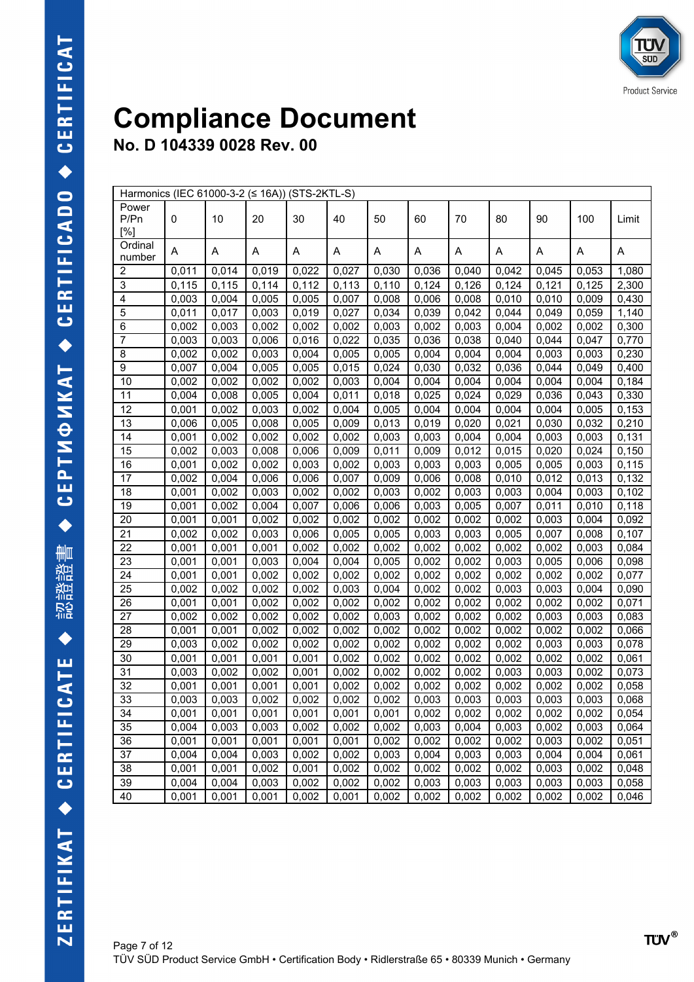|                 | Harmonics (IEC 61000-3-2 (≤ 16A)) (STS-2KTL-S) |       |       |       |       |       |       |       |       |       |       |       |
|-----------------|------------------------------------------------|-------|-------|-------|-------|-------|-------|-------|-------|-------|-------|-------|
| Power           |                                                |       |       |       |       |       |       |       |       |       |       |       |
| P/Pn            | 0                                              | 10    | 20    | 30    | 40    | 50    | 60    | 70    | 80    | 90    | 100   | Limit |
| [%]             |                                                |       |       |       |       |       |       |       |       |       |       |       |
| Ordinal         | Α                                              | Α     | A     | Α     | Α     | Α     | A     | Α     | Α     | Α     | Α     | Α     |
| number          |                                                |       |       |       |       |       |       |       |       |       |       |       |
| 2               | 0,011                                          | 0,014 | 0,019 | 0,022 | 0,027 | 0,030 | 0,036 | 0,040 | 0,042 | 0,045 | 0,053 | 1,080 |
| 3               | 0,115                                          | 0,115 | 0,114 | 0,112 | 0,113 | 0,110 | 0,124 | 0,126 | 0,124 | 0,121 | 0,125 | 2,300 |
| 4               | 0,003                                          | 0,004 | 0,005 | 0,005 | 0,007 | 0,008 | 0,006 | 0,008 | 0,010 | 0,010 | 0,009 | 0,430 |
| 5               | 0,011                                          | 0,017 | 0,003 | 0,019 | 0,027 | 0,034 | 0,039 | 0,042 | 0,044 | 0,049 | 0,059 | 1,140 |
| 6               | 0,002                                          | 0,003 | 0,002 | 0,002 | 0,002 | 0,003 | 0,002 | 0,003 | 0,004 | 0,002 | 0,002 | 0,300 |
| $\overline{7}$  | 0,003                                          | 0,003 | 0,006 | 0,016 | 0,022 | 0,035 | 0,036 | 0,038 | 0,040 | 0,044 | 0,047 | 0,770 |
| 8               | 0,002                                          | 0,002 | 0,003 | 0,004 | 0,005 | 0,005 | 0,004 | 0,004 | 0,004 | 0,003 | 0,003 | 0,230 |
| 9               | 0,007                                          | 0,004 | 0,005 | 0,005 | 0,015 | 0,024 | 0,030 | 0,032 | 0,036 | 0,044 | 0,049 | 0,400 |
| 10              | 0,002                                          | 0,002 | 0,002 | 0,002 | 0,003 | 0,004 | 0,004 | 0,004 | 0,004 | 0,004 | 0,004 | 0,184 |
| 11              | 0,004                                          | 0,008 | 0,005 | 0,004 | 0,011 | 0,018 | 0,025 | 0,024 | 0,029 | 0,036 | 0,043 | 0,330 |
| 12              | 0,001                                          | 0,002 | 0,003 | 0,002 | 0,004 | 0,005 | 0,004 | 0,004 | 0,004 | 0,004 | 0,005 | 0,153 |
| 13              | 0,006                                          | 0,005 | 0,008 | 0,005 | 0,009 | 0,013 | 0,019 | 0,020 | 0,021 | 0,030 | 0,032 | 0,210 |
| 14              | 0,001                                          | 0,002 | 0,002 | 0,002 | 0,002 | 0,003 | 0,003 | 0,004 | 0,004 | 0,003 | 0,003 | 0,131 |
| 15              | 0,002                                          | 0,003 | 0,008 | 0,006 | 0,009 | 0,011 | 0,009 | 0,012 | 0,015 | 0,020 | 0,024 | 0,150 |
| 16              | 0,001                                          | 0,002 | 0,002 | 0,003 | 0,002 | 0,003 | 0,003 | 0,003 | 0,005 | 0,005 | 0,003 | 0,115 |
| 17              | 0,002                                          | 0,004 | 0,006 | 0,006 | 0,007 | 0,009 | 0,006 | 0,008 | 0,010 | 0,012 | 0,013 | 0,132 |
| 18              | 0,001                                          | 0,002 | 0,003 | 0,002 | 0,002 | 0,003 | 0,002 | 0,003 | 0,003 | 0,004 | 0,003 | 0,102 |
| 19              | 0,001                                          | 0,002 | 0,004 | 0,007 | 0,006 | 0,006 | 0,003 | 0,005 | 0,007 | 0,011 | 0,010 | 0,118 |
| 20              | 0,001                                          | 0,001 | 0,002 | 0,002 | 0,002 | 0,002 | 0,002 | 0,002 | 0,002 | 0,003 | 0,004 | 0,092 |
| $\overline{21}$ | 0,002                                          | 0,002 | 0,003 | 0,006 | 0,005 | 0,005 | 0,003 | 0,003 | 0,005 | 0,007 | 0,008 | 0,107 |
| 22              | 0,001                                          | 0,001 | 0,001 | 0,002 | 0,002 | 0,002 | 0,002 | 0,002 | 0,002 | 0,002 | 0,003 | 0,084 |
| 23              | 0,001                                          | 0,001 | 0,003 | 0,004 | 0,004 | 0,005 | 0,002 | 0,002 | 0,003 | 0,005 | 0,006 | 0,098 |
| 24              | 0,001                                          | 0,001 | 0,002 | 0,002 | 0,002 | 0,002 | 0,002 | 0,002 | 0,002 | 0,002 | 0,002 | 0,077 |
| 25              | 0,002                                          | 0,002 | 0,002 | 0,002 | 0,003 | 0,004 | 0,002 | 0,002 | 0,003 | 0,003 | 0,004 | 0,090 |
| 26              | 0,001                                          | 0,001 | 0,002 | 0,002 | 0,002 | 0,002 | 0,002 | 0,002 | 0,002 | 0,002 | 0,002 | 0,071 |
| 27              | 0,002                                          | 0,002 | 0,002 | 0,002 | 0,002 | 0,003 | 0,002 | 0,002 | 0,002 | 0,003 | 0,003 | 0,083 |
| 28              | 0,001                                          | 0,001 | 0,002 | 0,002 | 0,002 | 0,002 | 0,002 | 0,002 | 0,002 | 0,002 | 0,002 | 0,066 |
| 29              | 0,003                                          | 0,002 | 0,002 | 0,002 | 0,002 | 0,002 | 0,002 | 0,002 | 0,002 | 0,003 | 0,003 | 0,078 |
| 30              | 0,001                                          | 0,001 | 0,001 | 0,001 | 0,002 | 0,002 | 0,002 | 0,002 | 0,002 | 0,002 | 0,002 | 0,061 |
| 31              | 0,003                                          | 0,002 | 0,002 | 0,001 | 0,002 | 0,002 | 0,002 | 0,002 | 0,003 | 0,003 | 0,002 | 0,073 |
| 32              | 0,001                                          | 0,001 | 0,001 | 0,001 | 0,002 | 0,002 | 0,002 | 0,002 | 0,002 | 0,002 | 0,002 | 0,058 |
| 33              | 0,003                                          | 0,003 | 0,002 | 0,002 | 0,002 | 0,002 | 0,003 | 0,003 | 0,003 | 0,003 | 0,003 | 0,068 |
| 34              | 0,001                                          | 0,001 | 0,001 | 0,001 | 0,001 | 0,001 | 0,002 | 0,002 | 0,002 | 0,002 | 0,002 | 0,054 |
| 35              | 0,004                                          | 0,003 | 0,003 | 0,002 | 0,002 | 0,002 | 0,003 | 0,004 | 0,003 | 0,002 | 0,003 | 0,064 |
| 36              | 0,001                                          | 0,001 | 0,001 | 0,001 | 0,001 | 0,002 | 0,002 | 0,002 | 0,002 | 0,003 | 0,002 | 0,051 |
| 37              | 0,004                                          | 0,004 | 0,003 | 0,002 | 0,002 | 0,003 | 0,004 | 0,003 | 0,003 | 0,004 | 0,004 | 0,061 |
| 38              | 0,001                                          | 0,001 | 0,002 | 0,001 | 0,002 | 0,002 | 0,002 | 0,002 | 0,002 | 0,003 | 0,002 | 0,048 |
| 39              | 0,004                                          | 0,004 | 0,003 | 0,002 | 0,002 | 0,002 | 0,003 | 0,003 | 0,003 | 0,003 | 0,003 | 0,058 |
| 40              | 0,001                                          | 0,001 | 0,001 | 0,002 | 0,001 | 0,002 | 0,002 | 0,002 | 0,002 | 0,002 | 0,002 | 0,046 |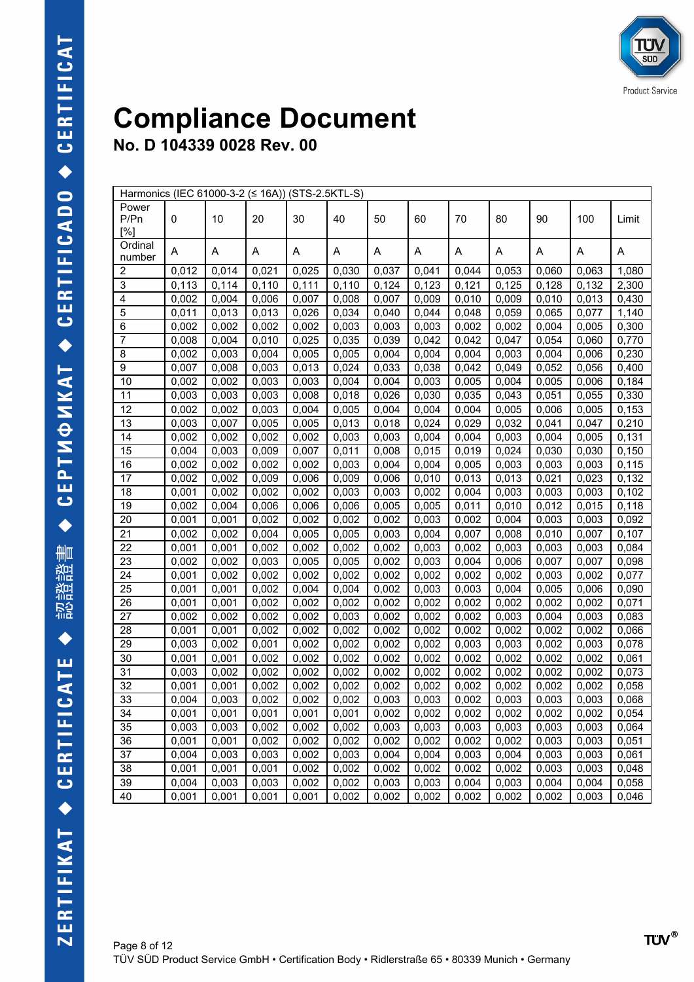|                          | Harmonics (IEC 61000-3-2 (≤ 16A)) (STS-2.5KTL-S) |       |       |       |       |       |       |       |       |       |       |       |
|--------------------------|--------------------------------------------------|-------|-------|-------|-------|-------|-------|-------|-------|-------|-------|-------|
| Power                    |                                                  |       |       |       |       |       |       |       |       |       |       |       |
| P/Pn                     | 0                                                | 10    | 20    | 30    | 40    | 50    | 60    | 70    | 80    | 90    | 100   | Limit |
| [%]                      |                                                  |       |       |       |       |       |       |       |       |       |       |       |
| Ordinal                  | Α                                                | Α     | Α     | Α     | Α     | Α     | Α     | Α     | Α     | Α     | Α     | Α     |
| number                   |                                                  |       |       |       |       |       |       |       |       |       |       |       |
| 2                        | 0,012                                            | 0,014 | 0,021 | 0,025 | 0,030 | 0,037 | 0,041 | 0,044 | 0,053 | 0,060 | 0,063 | 1,080 |
| 3                        | 0,113                                            | 0,114 | 0,110 | 0,111 | 0,110 | 0,124 | 0,123 | 0,121 | 0,125 | 0,128 | 0,132 | 2,300 |
| 4                        | 0,002                                            | 0,004 | 0,006 | 0,007 | 0,008 | 0,007 | 0,009 | 0,010 | 0,009 | 0,010 | 0,013 | 0,430 |
| 5                        | 0,011                                            | 0,013 | 0,013 | 0,026 | 0,034 | 0,040 | 0,044 | 0,048 | 0,059 | 0,065 | 0,077 | 1,140 |
| 6                        | 0,002                                            | 0,002 | 0,002 | 0,002 | 0,003 | 0,003 | 0,003 | 0,002 | 0,002 | 0,004 | 0,005 | 0,300 |
| $\overline{\mathcal{I}}$ | 0,008                                            | 0,004 | 0,010 | 0,025 | 0,035 | 0,039 | 0,042 | 0,042 | 0,047 | 0,054 | 0,060 | 0,770 |
| 8                        | 0,002                                            | 0,003 | 0,004 | 0,005 | 0,005 | 0,004 | 0,004 | 0,004 | 0,003 | 0,004 | 0,006 | 0,230 |
| 9                        | 0,007                                            | 0,008 | 0,003 | 0,013 | 0,024 | 0,033 | 0,038 | 0,042 | 0,049 | 0,052 | 0,056 | 0,400 |
| 10                       | 0,002                                            | 0,002 | 0,003 | 0,003 | 0,004 | 0,004 | 0,003 | 0,005 | 0,004 | 0,005 | 0,006 | 0,184 |
| 11                       | 0,003                                            | 0,003 | 0,003 | 0,008 | 0,018 | 0,026 | 0,030 | 0,035 | 0,043 | 0,051 | 0,055 | 0,330 |
| 12                       | 0,002                                            | 0,002 | 0,003 | 0,004 | 0,005 | 0,004 | 0,004 | 0,004 | 0,005 | 0,006 | 0,005 | 0,153 |
| 13                       | 0,003                                            | 0,007 | 0,005 | 0,005 | 0,013 | 0,018 | 0,024 | 0,029 | 0,032 | 0,041 | 0,047 | 0,210 |
| 14                       | 0,002                                            | 0,002 | 0,002 | 0,002 | 0,003 | 0,003 | 0,004 | 0,004 | 0,003 | 0,004 | 0,005 | 0,131 |
| 15                       | 0,004                                            | 0,003 | 0,009 | 0,007 | 0,011 | 0,008 | 0,015 | 0,019 | 0,024 | 0,030 | 0,030 | 0,150 |
| 16                       | 0,002                                            | 0,002 | 0,002 | 0,002 | 0,003 | 0,004 | 0,004 | 0,005 | 0,003 | 0,003 | 0,003 | 0,115 |
| 17                       | 0,002                                            | 0,002 | 0,009 | 0,006 | 0,009 | 0,006 | 0,010 | 0,013 | 0,013 | 0,021 | 0,023 | 0,132 |
| 18                       | 0,001                                            | 0,002 | 0,002 | 0,002 | 0,003 | 0,003 | 0,002 | 0,004 | 0,003 | 0,003 | 0,003 | 0,102 |
| 19                       | 0,002                                            | 0,004 | 0,006 | 0,006 | 0,006 | 0,005 | 0,005 | 0,011 | 0,010 | 0,012 | 0,015 | 0,118 |
| 20                       | 0,001                                            | 0,001 | 0,002 | 0,002 | 0,002 | 0,002 | 0,003 | 0,002 | 0,004 | 0,003 | 0,003 | 0,092 |
| 21                       | 0,002                                            | 0,002 | 0,004 | 0,005 | 0,005 | 0,003 | 0,004 | 0,007 | 0,008 | 0,010 | 0,007 | 0,107 |
| 22                       | 0,001                                            | 0,001 | 0,002 | 0,002 | 0,002 | 0,002 | 0,003 | 0,002 | 0,003 | 0,003 | 0,003 | 0,084 |
| 23                       | 0,002                                            | 0,002 | 0,003 | 0,005 | 0,005 | 0,002 | 0,003 | 0,004 | 0,006 | 0,007 | 0,007 | 0,098 |
| 24                       | 0,001                                            | 0,002 | 0,002 | 0,002 | 0,002 | 0,002 | 0,002 | 0,002 | 0,002 | 0,003 | 0,002 | 0,077 |
| 25                       | 0,001                                            | 0,001 | 0,002 | 0,004 | 0,004 | 0,002 | 0,003 | 0,003 | 0,004 | 0,005 | 0,006 | 0,090 |
| 26                       | 0,001                                            | 0,001 | 0,002 | 0,002 | 0,002 | 0,002 | 0,002 | 0,002 | 0,002 | 0,002 | 0,002 | 0,071 |
| 27                       | 0,002                                            | 0,002 | 0,002 | 0,002 | 0,003 | 0,002 | 0,002 | 0,002 | 0,003 | 0,004 | 0,003 | 0,083 |
| 28                       | 0,001                                            | 0,001 | 0,002 | 0,002 | 0,002 | 0,002 | 0,002 | 0,002 | 0,002 | 0,002 | 0,002 | 0,066 |
| 29                       | 0,003                                            | 0,002 | 0,001 | 0,002 | 0,002 | 0,002 | 0,002 | 0,003 | 0,003 | 0,002 | 0,003 | 0,078 |
| 30                       | 0,001                                            | 0,001 | 0,002 | 0,002 | 0,002 | 0,002 | 0,002 | 0,002 | 0,002 | 0,002 | 0,002 | 0,061 |
| 31                       | 0,003                                            | 0,002 | 0,002 | 0,002 | 0,002 | 0,002 | 0,002 | 0,002 | 0,002 | 0,002 | 0,002 | 0,073 |
| 32                       | 0,001                                            | 0,001 | 0,002 | 0,002 | 0,002 | 0,002 | 0,002 | 0,002 | 0,002 | 0,002 | 0,002 | 0,058 |
| 33                       | 0,004                                            | 0,003 | 0,002 | 0,002 | 0,002 | 0,003 | 0,003 | 0,002 | 0,003 | 0,003 | 0,003 | 0,068 |
| 34                       | 0,001                                            | 0,001 | 0,001 | 0,001 | 0,001 | 0,002 | 0,002 | 0,002 | 0,002 | 0,002 | 0,002 | 0,054 |
| 35                       | 0,003                                            | 0,003 | 0,002 | 0,002 | 0,002 | 0,003 | 0,003 | 0,003 | 0,003 | 0,003 | 0,003 | 0,064 |
| 36                       | 0,001                                            | 0,001 | 0,002 | 0,002 | 0,002 | 0,002 | 0,002 | 0,002 | 0,002 | 0,003 | 0,003 | 0,051 |
| 37                       | 0,004                                            | 0,003 | 0,003 | 0,002 | 0,003 | 0,004 | 0,004 | 0,003 | 0,004 | 0,003 | 0,003 | 0,061 |
| 38                       | 0,001                                            | 0,001 | 0,001 | 0,002 | 0,002 | 0,002 | 0,002 | 0,002 | 0,002 | 0,003 | 0,003 | 0,048 |
| 39                       | 0,004                                            | 0,003 | 0,003 | 0,002 | 0,002 | 0,003 | 0,003 | 0,004 | 0,003 | 0,004 | 0,004 | 0,058 |
| 40                       | 0,001                                            | 0,001 | 0,001 | 0,001 | 0,002 | 0,002 | 0,002 | 0,002 | 0,002 | 0,002 | 0,003 | 0,046 |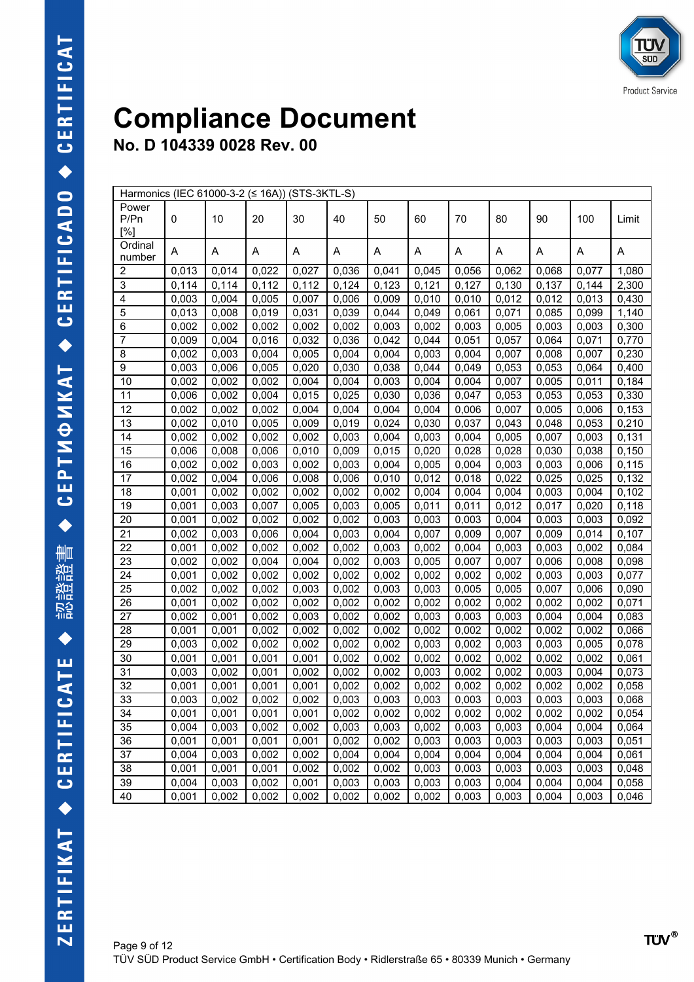|                      | Harmonics (IEC 61000-3-2 (≤ 16A)) (STS-3KTL-S) |       |       |       |       |       |       |       |       |       |       |       |
|----------------------|------------------------------------------------|-------|-------|-------|-------|-------|-------|-------|-------|-------|-------|-------|
| Power<br>P/Pn<br>[%] | 0                                              | 10    | 20    | 30    | 40    | 50    | 60    | 70    | 80    | 90    | 100   | Limit |
| Ordinal<br>number    | Α                                              | Α     | Α     | Α     | Α     | Α     | Α     | Α     | Α     | Α     | Α     | A     |
| 2                    | 0,013                                          | 0,014 | 0,022 | 0,027 | 0,036 | 0,041 | 0,045 | 0,056 | 0,062 | 0,068 | 0,077 | 1,080 |
| 3                    | 0,114                                          | 0,114 | 0,112 | 0,112 | 0,124 | 0,123 | 0,121 | 0,127 | 0,130 | 0,137 | 0,144 | 2,300 |
| 4                    | 0,003                                          | 0,004 | 0,005 | 0,007 | 0,006 | 0,009 | 0,010 | 0,010 | 0,012 | 0,012 | 0,013 | 0,430 |
| 5                    | 0,013                                          | 0,008 | 0,019 | 0,031 | 0,039 | 0,044 | 0,049 | 0,061 | 0,071 | 0,085 | 0,099 | 1,140 |
| 6                    | 0,002                                          | 0,002 | 0,002 | 0,002 | 0,002 | 0,003 | 0,002 | 0,003 | 0,005 | 0,003 | 0,003 | 0,300 |
| 7                    | 0,009                                          | 0,004 | 0,016 | 0,032 | 0,036 | 0,042 | 0,044 | 0,051 | 0,057 | 0,064 | 0,071 | 0,770 |
| 8                    | 0,002                                          | 0,003 | 0,004 | 0,005 | 0,004 | 0,004 | 0,003 | 0,004 | 0,007 | 0,008 | 0,007 | 0,230 |
| 9                    | 0,003                                          | 0,006 | 0,005 | 0,020 | 0,030 | 0,038 | 0,044 | 0,049 | 0,053 | 0,053 | 0,064 | 0,400 |
| 10                   | 0,002                                          | 0,002 | 0,002 | 0,004 | 0,004 | 0,003 | 0,004 | 0,004 | 0,007 | 0,005 | 0,011 | 0,184 |
| 11                   | 0,006                                          | 0,002 | 0,004 | 0,015 | 0,025 | 0,030 | 0,036 | 0,047 | 0,053 | 0,053 | 0,053 | 0,330 |
| 12                   | 0,002                                          | 0,002 | 0,002 | 0,004 | 0,004 | 0,004 | 0,004 | 0,006 | 0,007 | 0,005 | 0,006 | 0,153 |
| 13                   | 0,002                                          | 0,010 | 0,005 | 0,009 | 0,019 | 0,024 | 0,030 | 0,037 | 0,043 | 0,048 | 0,053 | 0,210 |
| 14                   | 0,002                                          | 0,002 | 0,002 | 0,002 | 0,003 | 0,004 | 0,003 | 0,004 | 0,005 | 0,007 | 0,003 | 0,131 |
| 15                   | 0,006                                          | 0,008 | 0,006 | 0,010 | 0,009 | 0,015 | 0,020 | 0,028 | 0,028 | 0,030 | 0,038 | 0,150 |
| 16                   | 0,002                                          | 0,002 | 0,003 | 0,002 | 0,003 | 0,004 | 0,005 | 0,004 | 0,003 | 0,003 | 0,006 | 0,115 |
| 17                   | 0,002                                          | 0,004 | 0,006 | 0,008 | 0,006 | 0,010 | 0,012 | 0,018 | 0,022 | 0,025 | 0,025 | 0,132 |
| 18                   | 0,001                                          | 0,002 | 0,002 | 0,002 | 0,002 | 0,002 | 0,004 | 0,004 | 0,004 | 0,003 | 0,004 | 0,102 |
| 19                   | 0,001                                          | 0,003 | 0,007 | 0,005 | 0,003 | 0,005 | 0,011 | 0,011 | 0,012 | 0,017 | 0,020 | 0,118 |
| 20                   | 0,001                                          | 0,002 | 0,002 | 0,002 | 0,002 | 0,003 | 0,003 | 0,003 | 0,004 | 0,003 | 0,003 | 0,092 |
| 21                   | 0,002                                          | 0,003 | 0,006 | 0,004 | 0,003 | 0,004 | 0,007 | 0,009 | 0,007 | 0,009 | 0,014 | 0,107 |
| 22                   | 0,001                                          | 0,002 | 0,002 | 0,002 | 0,002 | 0,003 | 0,002 | 0,004 | 0,003 | 0,003 | 0,002 | 0,084 |
| 23                   | 0,002                                          | 0,002 | 0,004 | 0,004 | 0,002 | 0,003 | 0,005 | 0,007 | 0,007 | 0,006 | 0,008 | 0,098 |
| 24                   | 0,001                                          | 0,002 | 0,002 | 0,002 | 0,002 | 0,002 | 0,002 | 0,002 | 0,002 | 0,003 | 0,003 | 0,077 |
| 25                   | 0,002                                          | 0,002 | 0,002 | 0,003 | 0,002 | 0,003 | 0,003 | 0,005 | 0,005 | 0,007 | 0,006 | 0,090 |
| 26                   | 0,001                                          | 0,002 | 0,002 | 0,002 | 0,002 | 0,002 | 0,002 | 0,002 | 0,002 | 0,002 | 0,002 | 0,071 |
| 27                   | 0,002                                          | 0,001 | 0,002 | 0,003 | 0,002 | 0,002 | 0,003 | 0,003 | 0,003 | 0,004 | 0,004 | 0,083 |
| 28                   | 0,001                                          | 0,001 | 0,002 | 0,002 | 0,002 | 0,002 | 0,002 | 0,002 | 0,002 | 0,002 | 0,002 | 0,066 |
| 29                   | 0,003                                          | 0,002 | 0,002 | 0,002 | 0,002 | 0,002 | 0,003 | 0,002 | 0,003 | 0,003 | 0,005 | 0,078 |
| 30                   | 0,001                                          | 0,001 | 0,001 | 0,001 | 0,002 | 0,002 | 0,002 | 0,002 | 0,002 | 0,002 | 0,002 | 0,061 |
| 31                   | 0,003                                          | 0,002 | 0,001 | 0,002 | 0,002 | 0,002 | 0,003 | 0,002 | 0,002 | 0,003 | 0,004 | 0,073 |
| 32                   | 0,001                                          | 0,001 | 0,001 | 0,001 | 0,002 | 0,002 | 0,002 | 0,002 | 0,002 | 0,002 | 0,002 | 0,058 |
| 33                   | 0,003                                          | 0,002 | 0,002 | 0,002 | 0,003 | 0,003 | 0,003 | 0,003 | 0,003 | 0,003 | 0,003 | 0,068 |
| 34                   | 0,001                                          | 0,001 | 0,001 | 0,001 | 0,002 | 0,002 | 0,002 | 0,002 | 0,002 | 0,002 | 0,002 | 0,054 |
| 35                   | 0,004                                          | 0,003 | 0,002 | 0,002 | 0,003 | 0,003 | 0,002 | 0,003 | 0,003 | 0,004 | 0,004 | 0,064 |
| 36                   | 0,001                                          | 0,001 | 0,001 | 0,001 | 0,002 | 0,002 | 0,003 | 0,003 | 0,003 | 0,003 | 0,003 | 0,051 |
| 37                   | 0,004                                          | 0,003 | 0,002 | 0,002 | 0,004 | 0,004 | 0,004 | 0,004 | 0,004 | 0,004 | 0,004 | 0,061 |
| 38                   | 0,001                                          | 0,001 | 0,001 | 0,002 | 0,002 | 0,002 | 0,003 | 0,003 | 0,003 | 0,003 | 0,003 | 0,048 |
| 39                   | 0,004                                          | 0,003 | 0,002 | 0,001 | 0,003 | 0,003 | 0,003 | 0,003 | 0,004 | 0,004 | 0,004 | 0,058 |
| 40                   | 0,001                                          | 0,002 | 0,002 | 0,002 | 0,002 | 0,002 | 0,002 | 0,003 | 0,003 | 0,004 | 0,003 | 0,046 |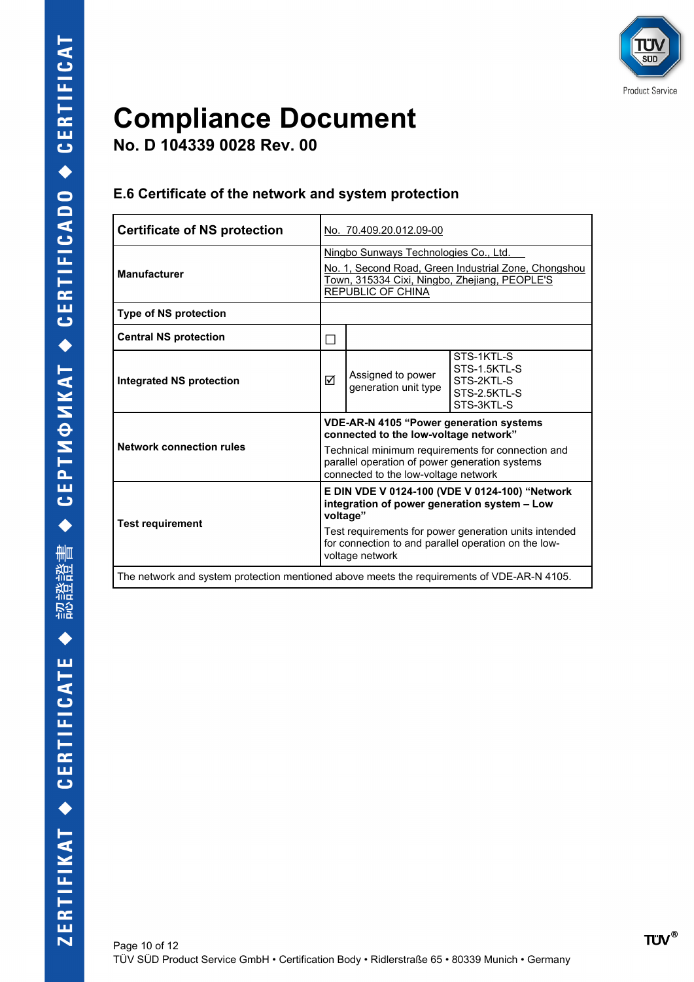**No. D 104339 0028 Rev. 00**

#### **E.6 Certificate of the network and system protection**

| <b>Certificate of NS protection</b>                                                        |                                                                                                                                                                                                                                        | No. 70.409.20.012.09-00                   |                                                                                                                                                                                                                 |  |  |  |  |  |
|--------------------------------------------------------------------------------------------|----------------------------------------------------------------------------------------------------------------------------------------------------------------------------------------------------------------------------------------|-------------------------------------------|-----------------------------------------------------------------------------------------------------------------------------------------------------------------------------------------------------------------|--|--|--|--|--|
| <b>Manufacturer</b>                                                                        | Ningbo Sunways Technologies Co., Ltd.<br>No. 1, Second Road, Green Industrial Zone, Chongshou<br>Town, 315334 Cixi, Ningbo, Zhejiang, PEOPLE'S<br>REPUBLIC OF CHINA                                                                    |                                           |                                                                                                                                                                                                                 |  |  |  |  |  |
| <b>Type of NS protection</b>                                                               |                                                                                                                                                                                                                                        |                                           |                                                                                                                                                                                                                 |  |  |  |  |  |
| <b>Central NS protection</b>                                                               | $\Box$                                                                                                                                                                                                                                 |                                           |                                                                                                                                                                                                                 |  |  |  |  |  |
| <b>Integrated NS protection</b>                                                            | ☑                                                                                                                                                                                                                                      | Assigned to power<br>generation unit type | STS-1KTL-S<br>STS-1.5KTL-S<br>STS-2KTL-S<br>STS-2.5KTL-S<br>STS-3KTL-S                                                                                                                                          |  |  |  |  |  |
| <b>Network connection rules</b>                                                            | <b>VDE-AR-N 4105 "Power generation systems</b><br>connected to the low-voltage network"<br>Technical minimum requirements for connection and<br>parallel operation of power generation systems<br>connected to the low-voltage network |                                           |                                                                                                                                                                                                                 |  |  |  |  |  |
| <b>Test requirement</b>                                                                    |                                                                                                                                                                                                                                        | voltage"<br>voltage network               | E DIN VDE V 0124-100 (VDE V 0124-100) "Network<br>integration of power generation system - Low<br>Test requirements for power generation units intended<br>for connection to and parallel operation on the low- |  |  |  |  |  |
| The network and system protection mentioned above meets the requirements of VDE-AR-N 4105. |                                                                                                                                                                                                                                        |                                           |                                                                                                                                                                                                                 |  |  |  |  |  |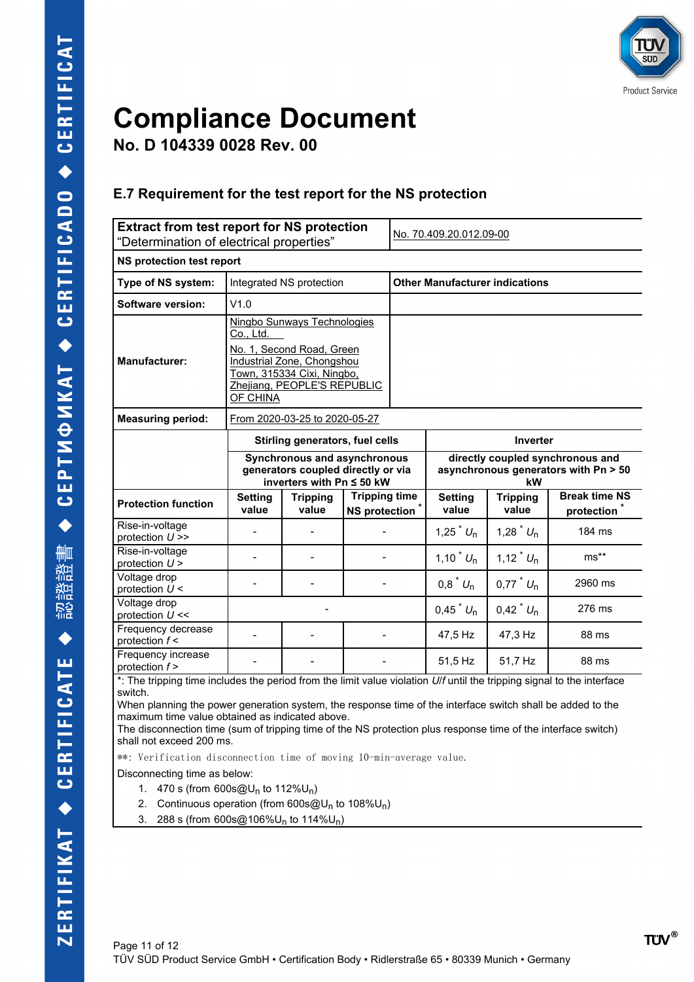

**No. D 104339 0028 Rev. 00**

#### **E.7 Requirement for the test report for the NS protection**

| <b>Extract from test report for NS protection</b><br>"Determination of electrical properties"                                                                            |                         |                                                                                                                                                     |                                                    | No. 70.409.20.012.09-00                                                        |                                       |                                      |                                                 |  |  |  |  |
|--------------------------------------------------------------------------------------------------------------------------------------------------------------------------|-------------------------|-----------------------------------------------------------------------------------------------------------------------------------------------------|----------------------------------------------------|--------------------------------------------------------------------------------|---------------------------------------|--------------------------------------|-------------------------------------------------|--|--|--|--|
| <b>NS protection test report</b>                                                                                                                                         |                         |                                                                                                                                                     |                                                    |                                                                                |                                       |                                      |                                                 |  |  |  |  |
| Type of NS system:                                                                                                                                                       |                         | Integrated NS protection                                                                                                                            |                                                    |                                                                                | <b>Other Manufacturer indications</b> |                                      |                                                 |  |  |  |  |
| Software version:                                                                                                                                                        | V1.0                    |                                                                                                                                                     |                                                    |                                                                                |                                       |                                      |                                                 |  |  |  |  |
| <b>Manufacturer:</b>                                                                                                                                                     | Co., Ltd.<br>OF CHINA   | Ningbo Sunways Technologies<br>No. 1, Second Road, Green<br>Industrial Zone, Chongshou<br>Town, 315334 Cixi, Ningbo,<br>Zhejiang, PEOPLE'S REPUBLIC |                                                    |                                                                                |                                       |                                      |                                                 |  |  |  |  |
| <b>Measuring period:</b><br>From 2020-03-25 to 2020-05-27                                                                                                                |                         |                                                                                                                                                     |                                                    |                                                                                |                                       |                                      |                                                 |  |  |  |  |
|                                                                                                                                                                          |                         | Stirling generators, fuel cells                                                                                                                     |                                                    |                                                                                |                                       | Inverter                             |                                                 |  |  |  |  |
|                                                                                                                                                                          |                         | Synchronous and asynchronous<br>generators coupled directly or via<br>inverters with Pn ≤ 50 kW                                                     |                                                    | directly coupled synchronous and<br>asynchronous generators with Pn > 50<br>kW |                                       |                                      |                                                 |  |  |  |  |
| <b>Protection function</b>                                                                                                                                               | <b>Setting</b><br>value | <b>Tripping</b><br>value                                                                                                                            | <b>Tripping time</b><br>NS protection <sup>*</sup> |                                                                                | <b>Setting</b><br>value               | <b>Tripping</b><br>value             | <b>Break time NS</b><br>protection <sup>*</sup> |  |  |  |  |
| Rise-in-voltage<br>protection $U \gg$                                                                                                                                    |                         |                                                                                                                                                     |                                                    |                                                                                | 1,25 $^{\circ}$ $U_n$                 | 1,28 $^{\degree}$ $U_n$              | 184 ms                                          |  |  |  |  |
| Rise-in-voltage<br>protection $U$ >                                                                                                                                      |                         |                                                                                                                                                     |                                                    |                                                                                | 1,10 <sup><math>*</math></sup> $U_n$  | 1,12 <sup><math>*</math></sup> $U_n$ | $ms**$                                          |  |  |  |  |
| Voltage drop<br>protection $U$ <                                                                                                                                         |                         |                                                                                                                                                     |                                                    |                                                                                | $0.8$ <sup>*</sup> $U_n$              | $0.77$ <sup>*</sup> $U_n$            | 2960 ms                                         |  |  |  |  |
| Voltage drop<br>protection $U \ll$                                                                                                                                       |                         |                                                                                                                                                     |                                                    |                                                                                | 0,45 $^{*}U_{n}$                      | $0,42 \times U_{n}$                  | 276 ms                                          |  |  |  |  |
| Frequency decrease<br>protection $f$ <                                                                                                                                   |                         |                                                                                                                                                     |                                                    |                                                                                | 47,5 Hz                               | 47,3 Hz                              | 88 ms                                           |  |  |  |  |
| Frequency increase<br>protection $f$ ><br>* The tripping time includes the period from the limit value violation <i>I lif</i> until the tripping signal to the interface |                         |                                                                                                                                                     |                                                    |                                                                                | 51,5 Hz                               | 51,7 Hz                              | 88 ms                                           |  |  |  |  |

: The tripping time includes the period from the limit value violation *Ulf* until the tripping signal to the interface switch.

When planning the power generation system, the response time of the interface switch shall be added to the maximum time value obtained as indicated above.

The disconnection time (sum of tripping time of the NS protection plus response time of the interface switch) shall not exceed 200 ms.

\*\*: Verification disconnection time of moving 10-min-average value.

Disconnecting time as below:

- 1. 470 s (from  $600s@U_n$  to  $112\%U_n$ )
- 2. Continuous operation (from 600s@U<sub>n</sub> to 108%U<sub>n</sub>)
- 3. 288 s (from  $600s@106\%U_n$  to  $114\%U_n$ )